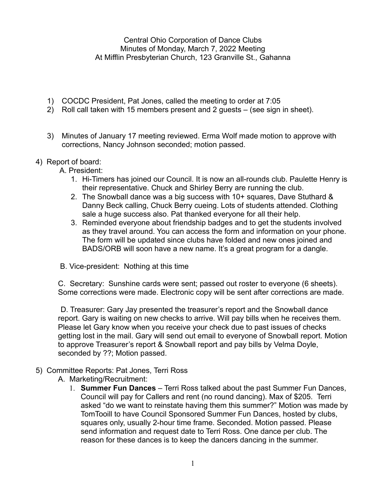Central Ohio Corporation of Dance Clubs Minutes of Monday, March 7, 2022 Meeting At Mifflin Presbyterian Church, 123 Granville St., Gahanna

- 1) COCDC President, Pat Jones, called the meeting to order at 7:05
- 2) Roll call taken with 15 members present and 2 guests (see sign in sheet).
- 3) Minutes of January 17 meeting reviewed. Erma Wolf made motion to approve with corrections, Nancy Johnson seconded; motion passed.

## 4) Report of board:

A. President:

- 1. Hi-Timers has joined our Council. It is now an all-rounds club. Paulette Henry is their representative. Chuck and Shirley Berry are running the club.
- 2. The Snowball dance was a big success with 10+ squares, Dave Stuthard & Danny Beck calling, Chuck Berry cueing. Lots of students attended. Clothing sale a huge success also. Pat thanked everyone for all their help.
- 3. Reminded everyone about friendship badges and to get the students involved as they travel around. You can access the form and information on your phone. The form will be updated since clubs have folded and new ones joined and BADS/ORB will soon have a new name. It's a great program for a dangle.
- B. Vice-president: Nothing at this time

C. Secretary: Sunshine cards were sent; passed out roster to everyone (6 sheets). Some corrections were made. Electronic copy will be sent after corrections are made.

D. Treasurer: Gary Jay presented the treasurer's report and the Snowball dance report. Gary is waiting on new checks to arrive. Will pay bills when he receives them. Please let Gary know when you receive your check due to past issues of checks getting lost in the mail. Gary will send out email to everyone of Snowball report. Motion to approve Treasurer's report & Snowball report and pay bills by Velma Doyle, seconded by ??; Motion passed.

- 5) Committee Reports: Pat Jones, Terri Ross
	- A. Marketing/Recruitment:
		- 1. **Summer Fun Dances** Terri Ross talked about the past Summer Fun Dances, Council will pay for Callers and rent (no round dancing). Max of \$205. Terri asked "do we want to reinstate having them this summer?" Motion was made by TomTooill to have Council Sponsored Summer Fun Dances, hosted by clubs, squares only, usually 2-hour time frame. Seconded. Motion passed. Please send information and request date to Terri Ross. One dance per club. The reason for these dances is to keep the dancers dancing in the summer.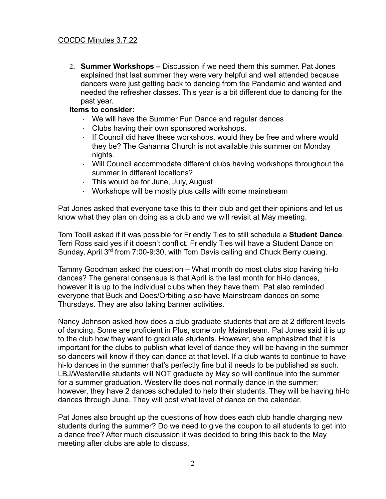2. **Summer Workshops –** Discussion if we need them this summer. Pat Jones explained that last summer they were very helpful and well attended because dancers were just getting back to dancing from the Pandemic and wanted and needed the refresher classes. This year is a bit different due to dancing for the past year.

## **Items to consider:**

- We will have the Summer Fun Dance and regular dances
- Clubs having their own sponsored workshops.
- $\cdot$  If Council did have these workshops, would they be free and where would they be? The Gahanna Church is not available this summer on Monday nights.
- Will Council accommodate different clubs having workshops throughout the summer in different locations?
- $\cdot$  This would be for June, July, August
- Workshops will be mostly plus calls with some mainstream

Pat Jones asked that everyone take this to their club and get their opinions and let us know what they plan on doing as a club and we will revisit at May meeting.

Tom Tooill asked if it was possible for Friendly Ties to still schedule a **Student Dance**. Terri Ross said yes if it doesn't conflict. Friendly Ties will have a Student Dance on Sunday, April 3<sup>rd</sup> from 7:00-9:30, with Tom Davis calling and Chuck Berry cueing.

Tammy Goodman asked the question – What month do most clubs stop having hi-lo dances? The general consensus is that April is the last month for hi-lo dances, however it is up to the individual clubs when they have them. Pat also reminded everyone that Buck and Does/Orbiting also have Mainstream dances on some Thursdays. They are also taking banner activities.

Nancy Johnson asked how does a club graduate students that are at 2 different levels of dancing. Some are proficient in Plus, some only Mainstream. Pat Jones said it is up to the club how they want to graduate students. However, she emphasized that it is important for the clubs to publish what level of dance they will be having in the summer so dancers will know if they can dance at that level. If a club wants to continue to have hi-lo dances in the summer that's perfectly fine but it needs to be published as such. LBJ/Westerville students will NOT graduate by May so will continue into the summer for a summer graduation. Westerville does not normally dance in the summer; however, they have 2 dances scheduled to help their students. They will be having hi-lo dances through June. They will post what level of dance on the calendar.

Pat Jones also brought up the questions of how does each club handle charging new students during the summer? Do we need to give the coupon to all students to get into a dance free? After much discussion it was decided to bring this back to the May meeting after clubs are able to discuss.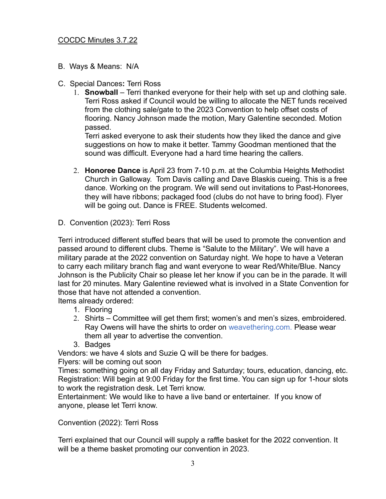- B. Ways & Means: N/A
- C. Special Dances**:** Terri Ross
	- 1. **Snowball** Terri thanked everyone for their help with set up and clothing sale. Terri Ross asked if Council would be willing to allocate the NET funds received from the clothing sale/gate to the 2023 Convention to help offset costs of flooring. Nancy Johnson made the motion, Mary Galentine seconded. Motion passed.

Terri asked everyone to ask their students how they liked the dance and give suggestions on how to make it better. Tammy Goodman mentioned that the sound was difficult. Everyone had a hard time hearing the callers.

- 2. **Honoree Dance** is April 23 from 7-10 p.m. at the Columbia Heights Methodist Church in Galloway. Tom Davis calling and Dave Blaskis cueing. This is a free dance. Working on the program. We will send out invitations to Past-Honorees, they will have ribbons; packaged food (clubs do not have to bring food). Flyer will be going out. Dance is FREE. Students welcomed.
- D. Convention (2023): Terri Ross

Terri introduced different stuffed bears that will be used to promote the convention and passed around to different clubs. Theme is "Salute to the Military". We will have a military parade at the 2022 convention on Saturday night. We hope to have a Veteran to carry each military branch flag and want everyone to wear Red/White/Blue. Nancy Johnson is the Publicity Chair so please let her know if you can be in the parade. It will last for 20 minutes. Mary Galentine reviewed what is involved in a State Convention for those that have not attended a convention.

Items already ordered:

- 1. Flooring
- 2. Shirts Committee will get them first; women's and men's sizes, embroidered. Ray Owens will have the shirts to order on weavethering.com. Please wear them all year to advertise the convention.
- 3. Badges

Vendors: we have 4 slots and Suzie Q will be there for badges.

Flyers: will be coming out soon

Times: something going on all day Friday and Saturday; tours, education, dancing, etc. Registration: Will begin at 9:00 Friday for the first time. You can sign up for 1-hour slots to work the registration desk. Let Terri know.

Entertainment: We would like to have a live band or entertainer. If you know of anyone, please let Terri know.

Convention (2022): Terri Ross

Terri explained that our Council will supply a raffle basket for the 2022 convention. It will be a theme basket promoting our convention in 2023.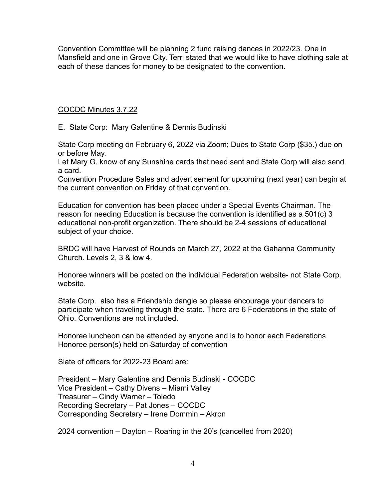Convention Committee will be planning 2 fund raising dances in 2022/23. One in Mansfield and one in Grove City. Terri stated that we would like to have clothing sale at each of these dances for money to be designated to the convention.

COCDC Minutes 3.7.22

E. State Corp: Mary Galentine & Dennis Budinski

State Corp meeting on February 6, 2022 via Zoom; Dues to State Corp (\$35.) due on or before May.

Let Mary G. know of any Sunshine cards that need sent and State Corp will also send a card.

Convention Procedure Sales and advertisement for upcoming (next year) can begin at the current convention on Friday of that convention.

Education for convention has been placed under a Special Events Chairman. The reason for needing Education is because the convention is identified as a 501(c) 3 educational non-profit organization. There should be 2-4 sessions of educational subject of your choice.

BRDC will have Harvest of Rounds on March 27, 2022 at the Gahanna Community Church. Levels 2, 3 & low 4.

Honoree winners will be posted on the individual Federation website- not State Corp. website.

State Corp. also has a Friendship dangle so please encourage your dancers to participate when traveling through the state. There are 6 Federations in the state of Ohio. Conventions are not included.

Honoree luncheon can be attended by anyone and is to honor each Federations Honoree person(s) held on Saturday of convention

Slate of officers for 2022-23 Board are:

President – Mary Galentine and Dennis Budinski - COCDC Vice President – Cathy Divens – Miami Valley Treasurer – Cindy Warner – Toledo Recording Secretary – Pat Jones – COCDC Corresponding Secretary – Irene Dommin – Akron

2024 convention – Dayton – Roaring in the 20's (cancelled from 2020)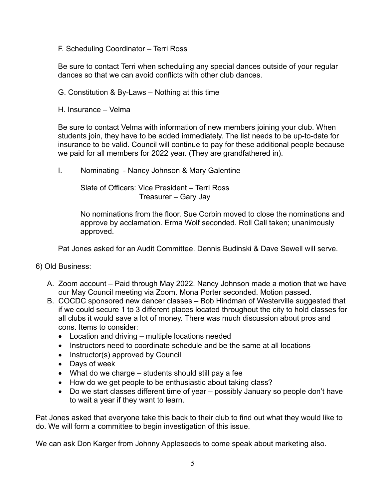F. Scheduling Coordinator – Terri Ross

Be sure to contact Terri when scheduling any special dances outside of your regular dances so that we can avoid conflicts with other club dances.

- G. Constitution & By-Laws Nothing at this time
- H. Insurance Velma

Be sure to contact Velma with information of new members joining your club. When students join, they have to be added immediately. The list needs to be up-to-date for insurance to be valid. Council will continue to pay for these additional people because we paid for all members for 2022 year. (They are grandfathered in).

I. Nominating - Nancy Johnson & Mary Galentine

Slate of Officers: Vice President – Terri Ross Treasurer – Gary Jay

No nominations from the floor. Sue Corbin moved to close the nominations and approve by acclamation. Erma Wolf seconded. Roll Call taken; unanimously approved.

Pat Jones asked for an Audit Committee. Dennis Budinski & Dave Sewell will serve.

- 6) Old Business:
	- A. Zoom account Paid through May 2022. Nancy Johnson made a motion that we have our May Council meeting via Zoom. Mona Porter seconded. Motion passed.
	- B. COCDC sponsored new dancer classes Bob Hindman of Westerville suggested that if we could secure 1 to 3 different places located throughout the city to hold classes for all clubs it would save a lot of money. There was much discussion about pros and cons. Items to consider:
		- Location and driving multiple locations needed
		- Instructors need to coordinate schedule and be the same at all locations
		- Instructor(s) approved by Council
		- Days of week
		- What do we charge students should still pay a fee
		- How do we get people to be enthusiastic about taking class?
		- Do we start classes different time of year possibly January so people don't have to wait a year if they want to learn.

Pat Jones asked that everyone take this back to their club to find out what they would like to do. We will form a committee to begin investigation of this issue.

We can ask Don Karger from Johnny Appleseeds to come speak about marketing also.